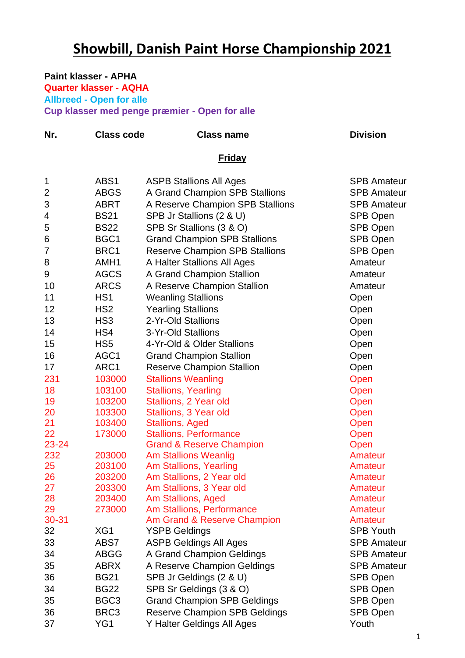## **Showbill, Danish Paint Horse Championship 2021**

**Nr.** Class code Class name Class not Division

## **Paint klasser - APHA**

**Quarter klasser - AQHA Allbreed - Open for alle Cup klasser med penge præmier - Open for alle**

|                |                  | <b>Friday</b>                         |                    |
|----------------|------------------|---------------------------------------|--------------------|
| 1              | ABS1             | <b>ASPB Stallions All Ages</b>        | <b>SPB Amateur</b> |
| $\overline{2}$ | <b>ABGS</b>      | A Grand Champion SPB Stallions        | <b>SPB Amateur</b> |
| 3              | <b>ABRT</b>      | A Reserve Champion SPB Stallions      | <b>SPB Amateur</b> |
| 4              | <b>BS21</b>      | SPB Jr Stallions (2 & U)              | SPB Open           |
| 5              | <b>BS22</b>      | SPB Sr Stallions (3 & O)              | SPB Open           |
| 6              | BGC1             | <b>Grand Champion SPB Stallions</b>   | <b>SPB Open</b>    |
| 7              | BRC1             | <b>Reserve Champion SPB Stallions</b> | <b>SPB Open</b>    |
| 8              | AMH <sub>1</sub> | A Halter Stallions All Ages           | Amateur            |
| 9              | <b>AGCS</b>      | A Grand Champion Stallion             | Amateur            |
| 10             | <b>ARCS</b>      | A Reserve Champion Stallion           | Amateur            |
| 11             | HS <sub>1</sub>  | <b>Weanling Stallions</b>             | Open               |
| 12             | HS <sub>2</sub>  | <b>Yearling Stallions</b>             | Open               |
| 13             | HS <sub>3</sub>  | 2-Yr-Old Stallions                    | Open               |
| 14             | HS4              | 3-Yr-Old Stallions                    | Open               |
| 15             | HS <sub>5</sub>  | 4-Yr-Old & Older Stallions            | Open               |
| 16             | AGC1             | <b>Grand Champion Stallion</b>        | Open               |
| 17             | ARC1             | <b>Reserve Champion Stallion</b>      | Open               |
| 231            | 103000           | <b>Stallions Weanling</b>             | Open               |
| 18             | 103100           | <b>Stallions, Yearling</b>            | Open               |
| 19             | 103200           | Stallions, 2 Year old                 | Open               |
| 20             | 103300           | Stallions, 3 Year old                 | Open               |
| 21             | 103400           | <b>Stallions, Aged</b>                | Open               |
| 22             | 173000           | <b>Stallions, Performance</b>         | Open               |
| 23-24          |                  | <b>Grand &amp; Reserve Champion</b>   | Open               |
| 232            | 203000           | <b>Am Stallions Weanlig</b>           | <b>Amateur</b>     |
| 25             | 203100           | Am Stallions, Yearling                | Amateur            |
| 26             | 203200           | Am Stallions, 2 Year old              | Amateur            |
| 27             | 203300           | Am Stallions, 3 Year old              | Amateur            |
| 28             | 203400           | Am Stallions, Aged                    | Amateur            |
| 29             | 273000           | Am Stallions, Performance             | Amateur            |
| 30-31          |                  | Am Grand & Reserve Champion           | Amateur            |
| 32             | XG1              | <b>YSPB Geldings</b>                  | <b>SPB Youth</b>   |
| 33             | ABS7             | <b>ASPB Geldings All Ages</b>         | <b>SPB Amateur</b> |
| 34             | <b>ABGG</b>      | A Grand Champion Geldings             | <b>SPB Amateur</b> |
| 35             | <b>ABRX</b>      | A Reserve Champion Geldings           | <b>SPB Amateur</b> |
| 36             | <b>BG21</b>      | SPB Jr Geldings (2 & U)               | <b>SPB Open</b>    |
| 34             | <b>BG22</b>      | SPB Sr Geldings (3 & O)               | SPB Open           |
| 35             | BGC <sub>3</sub> | <b>Grand Champion SPB Geldings</b>    | SPB Open           |
| 36             | BRC3             | <b>Reserve Champion SPB Geldings</b>  | SPB Open           |
| 37             | YG1              | Y Halter Geldings All Ages            | Youth              |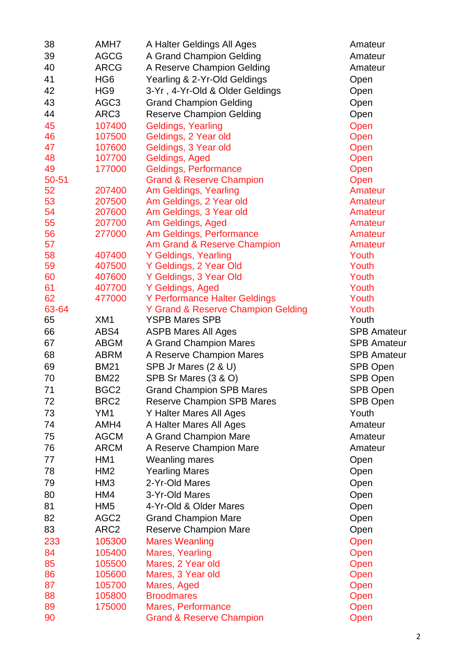| 38        | AMH7             | A Halter Geldings All Ages          | Amateur            |
|-----------|------------------|-------------------------------------|--------------------|
| 39        | <b>AGCG</b>      | A Grand Champion Gelding            | Amateur            |
| 40        | <b>ARCG</b>      | A Reserve Champion Gelding          | Amateur            |
| 41        | HG <sub>6</sub>  | Yearling & 2-Yr-Old Geldings        | Open               |
| 42        | HG <sub>9</sub>  | 3-Yr, 4-Yr-Old & Older Geldings     | Open               |
| 43        | AGC <sub>3</sub> | <b>Grand Champion Gelding</b>       | Open               |
| 44        | ARC3             | <b>Reserve Champion Gelding</b>     | Open               |
| 45        | 107400           | <b>Geldings, Yearling</b>           | Open               |
| 46        | 107500           | Geldings, 2 Year old                | Open               |
| 47        | 107600           | Geldings, 3 Year old                | Open               |
| 48        | 107700           | Geldings, Aged                      | Open               |
| 49        | 177000           | Geldings, Performance               | Open               |
| $50 - 51$ |                  | <b>Grand &amp; Reserve Champion</b> | Open               |
| 52        | 207400           | Am Geldings, Yearling               | Amateur            |
| 53        | 207500           | Am Geldings, 2 Year old             | Amateur            |
| 54        | 207600           | Am Geldings, 3 Year old             | Amateur            |
| 55        | 207700           | Am Geldings, Aged                   | Amateur            |
| 56        | 277000           | Am Geldings, Performance            | Amateur            |
| 57        |                  | Am Grand & Reserve Champion         | Amateur            |
| 58        | 407400           | Y Geldings, Yearling                | Youth              |
| 59        | 407500           | Y Geldings, 2 Year Old              | Youth              |
| 60        | 407600           | Y Geldings, 3 Year Old              | Youth              |
| 61        | 407700           | Y Geldings, Aged                    | Youth              |
| 62        | 477000           | Y Performance Halter Geldings       | Youth              |
| 63-64     |                  | Y Grand & Reserve Champion Gelding  | Youth              |
| 65        | XM1              | <b>YSPB Mares SPB</b>               | Youth              |
| 66        | ABS4             | <b>ASPB Mares All Ages</b>          | <b>SPB Amateur</b> |
| 67        | <b>ABGM</b>      | A Grand Champion Mares              | <b>SPB Amateur</b> |
| 68        | <b>ABRM</b>      | A Reserve Champion Mares            | <b>SPB Amateur</b> |
| 69        | <b>BM21</b>      | SPB Jr Mares (2 & U)                | SPB Open           |
| 70        | <b>BM22</b>      | SPB Sr Mares (3 & O)                | <b>SPB Open</b>    |
| 71        | BGC <sub>2</sub> | <b>Grand Champion SPB Mares</b>     | SPB Open           |
| 72        | BRC <sub>2</sub> | <b>Reserve Champion SPB Mares</b>   | <b>SPB Open</b>    |
| 73        | YM1              | Y Halter Mares All Ages             | Youth              |
| 74        | AMH4             | A Halter Mares All Ages             | Amateur            |
| 75        | <b>AGCM</b>      |                                     | Amateur            |
| 76        | <b>ARCM</b>      | A Grand Champion Mare               | Amateur            |
|           |                  | A Reserve Champion Mare             |                    |
| 77        | HM <sub>1</sub>  | <b>Weanling mares</b>               | Open               |
| 78        | HM <sub>2</sub>  | <b>Yearling Mares</b>               | Open               |
| 79        | HM <sub>3</sub>  | 2-Yr-Old Mares                      | Open               |
| 80        | HM4              | 3-Yr-Old Mares                      | Open               |
| 81        | HM <sub>5</sub>  | 4-Yr-Old & Older Mares              | Open               |
| 82        | AGC <sub>2</sub> | <b>Grand Champion Mare</b>          | Open               |
| 83        | ARC <sub>2</sub> | <b>Reserve Champion Mare</b>        | Open               |
| 233       | 105300           | <b>Mares Weanling</b>               | Open               |
| 84        | 105400           | Mares, Yearling                     | Open               |
| 85        | 105500           | Mares, 2 Year old                   | Open               |
| 86        | 105600           | Mares, 3 Year old                   | Open               |
| 87        | 105700           | Mares, Aged                         | Open               |
| 88        | 105800           | <b>Broodmares</b>                   | Open               |
| 89        | 175000           | Mares, Performance                  | Open               |
| 90        |                  | <b>Grand &amp; Reserve Champion</b> | Open               |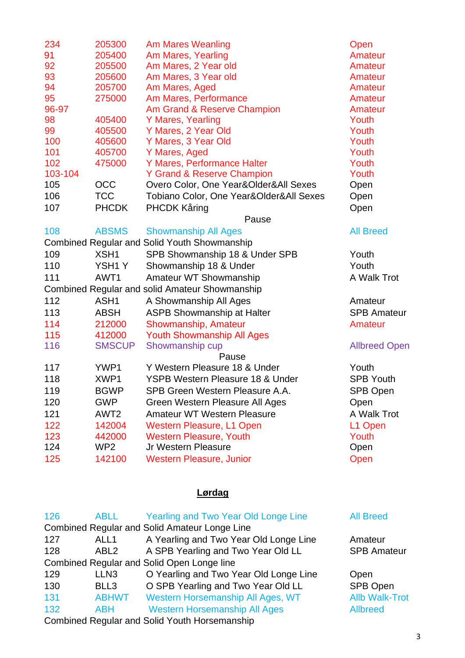| 234     | 205300           | <b>Am Mares Weanling</b>                            | Open                 |
|---------|------------------|-----------------------------------------------------|----------------------|
| 91      | 205400           | Am Mares, Yearling                                  | Amateur              |
| 92      | 205500           | Am Mares, 2 Year old                                | Amateur              |
| 93      | 205600           | Am Mares, 3 Year old                                | Amateur              |
| 94      | 205700           | Am Mares, Aged                                      | Amateur              |
| 95      | 275000           | Am Mares, Performance                               | Amateur              |
| 96-97   |                  | Am Grand & Reserve Champion                         | Amateur              |
| 98      | 405400           | Y Mares, Yearling                                   | Youth                |
| 99      | 405500           | Y Mares, 2 Year Old                                 | Youth                |
| 100     | 405600           | Y Mares, 3 Year Old                                 | Youth                |
| 101     | 405700           | Y Mares, Aged                                       | Youth                |
| 102     | 475000           | Y Mares, Performance Halter                         | Youth                |
| 103-104 |                  | <b>Y Grand &amp; Reserve Champion</b>               | Youth                |
| 105     | <b>OCC</b>       | Overo Color, One Year&Older&All Sexes               | Open                 |
| 106     | <b>TCC</b>       | Tobiano Color, One Year&Older&All Sexes             | Open                 |
| 107     | <b>PHCDK</b>     | <b>PHCDK Kåring</b>                                 | Open                 |
|         |                  | Pause                                               |                      |
| 108     | <b>ABSMS</b>     | <b>Showmanship All Ages</b>                         | <b>All Breed</b>     |
|         |                  | <b>Combined Regular and Solid Youth Showmanship</b> |                      |
| 109     | XSH1             | SPB Showmanship 18 & Under SPB                      | Youth                |
| 110     | YSH1Y            | Showmanship 18 & Under                              | Youth                |
| 111     | AWT1             | Amateur WT Showmanship                              | A Walk Trot          |
|         |                  | Combined Regular and solid Amateur Showmanship      |                      |
| 112     | ASH1             | A Showmanship All Ages                              | Amateur              |
| 113     | <b>ABSH</b>      | <b>ASPB Showmanship at Halter</b>                   | <b>SPB Amateur</b>   |
| 114     | 212000           | Showmanship, Amateur                                | Amateur              |
| 115     | 412000           | <b>Youth Showmanship All Ages</b>                   |                      |
| 116     | <b>SMSCUP</b>    | Showmanship cup                                     | <b>Allbreed Open</b> |
|         |                  | Pause                                               |                      |
| 117     | YWP1             | Y Western Pleasure 18 & Under                       | Youth                |
| 118     | XWP1             | <b>YSPB Western Pleasure 18 &amp; Under</b>         | <b>SPB Youth</b>     |
| 119     | <b>BGWP</b>      | SPB Green Western Pleasure A.A.                     | SPB Open             |
| 120     | <b>GWP</b>       | Green Western Pleasure All Ages                     | Open                 |
| 121     | AWT <sub>2</sub> | <b>Amateur WT Western Pleasure</b>                  | A Walk Trot          |
| 122     | 142004           | <b>Western Pleasure, L1 Open</b>                    | L1 Open              |
| 123     | 442000           | <b>Western Pleasure, Youth</b>                      | Youth                |
| 124     | WP <sub>2</sub>  | Jr Western Pleasure                                 | Open                 |
| 125     | 142100           | <b>Western Pleasure, Junior</b>                     | Open                 |

## **Lørdag**

| 126                                                  | <b>ABLL</b>      | <b>Yearling and Two Year Old Longe Line</b>          | <b>All Breed</b>      |  |
|------------------------------------------------------|------------------|------------------------------------------------------|-----------------------|--|
|                                                      |                  | <b>Combined Regular and Solid Amateur Longe Line</b> |                       |  |
| 127                                                  | ALL <sub>1</sub> | A Yearling and Two Year Old Longe Line               | Amateur               |  |
| 128                                                  | ABL <sub>2</sub> | A SPB Yearling and Two Year Old LL                   | <b>SPB Amateur</b>    |  |
|                                                      |                  | Combined Regular and Solid Open Longe line           |                       |  |
| 129                                                  | LLN <sub>3</sub> | O Yearling and Two Year Old Longe Line               | Open                  |  |
| 130                                                  | BLL3             | O SPB Yearling and Two Year Old LL                   | <b>SPB Open</b>       |  |
| 131                                                  | <b>ABHWT</b>     | Western Horsemanship All Ages, WT                    | <b>Allb Walk-Trot</b> |  |
| 132                                                  | ABH              | <b>Western Horsemanship All Ages</b>                 | <b>Allbreed</b>       |  |
| <b>Combined Regular and Solid Youth Horsemanship</b> |                  |                                                      |                       |  |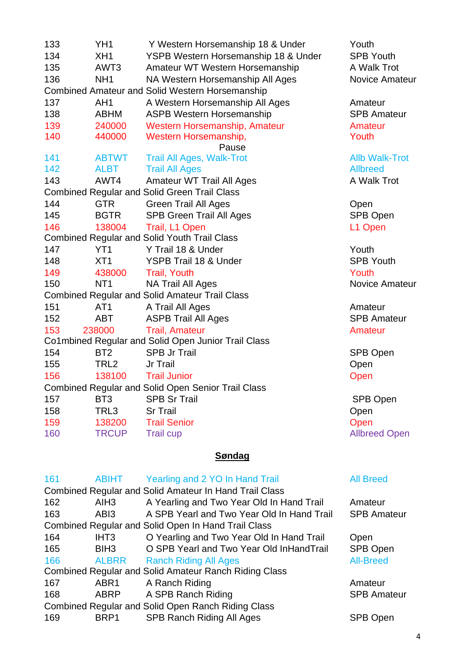| 133                                                       | YH <sub>1</sub>                                     | Y Western Horsemanship 18 & Under                      | Youth                 |  |  |
|-----------------------------------------------------------|-----------------------------------------------------|--------------------------------------------------------|-----------------------|--|--|
| 134                                                       | XH <sub>1</sub>                                     | YSPB Western Horsemanship 18 & Under                   | <b>SPB Youth</b>      |  |  |
| 135                                                       | AWT <sub>3</sub>                                    | Amateur WT Western Horsemanship                        | A Walk Trot           |  |  |
| 136                                                       | NH <sub>1</sub>                                     | NA Western Horsemanship All Ages                       | Novice Amateur        |  |  |
|                                                           |                                                     | <b>Combined Amateur and Solid Western Horsemanship</b> |                       |  |  |
| 137                                                       | AH <sub>1</sub>                                     | A Western Horsemanship All Ages                        | Amateur               |  |  |
| 138                                                       | <b>ABHM</b>                                         | <b>ASPB Western Horsemanship</b>                       | <b>SPB Amateur</b>    |  |  |
| 139                                                       | 240000                                              | Western Horsemanship, Amateur                          | Amateur               |  |  |
| 140                                                       | 440000                                              | Western Horsemanship,                                  | Youth                 |  |  |
|                                                           |                                                     | Pause                                                  |                       |  |  |
| 141                                                       | <b>ABTWT</b>                                        | <b>Trail All Ages, Walk-Trot</b>                       | <b>Allb Walk-Trot</b> |  |  |
| 142                                                       | <b>ALBT</b>                                         | <b>Trail All Ages</b>                                  | <b>Allbreed</b>       |  |  |
| 143                                                       | AWT4                                                | <b>Amateur WT Trail All Ages</b>                       | A Walk Trot           |  |  |
|                                                           |                                                     | <b>Combined Regular and Solid Green Trail Class</b>    |                       |  |  |
| 144                                                       | <b>GTR</b>                                          | <b>Green Trail All Ages</b>                            | Open                  |  |  |
| 145                                                       | <b>BGTR</b>                                         | <b>SPB Green Trail All Ages</b>                        | SPB Open              |  |  |
| 146                                                       | 138004                                              | Trail, L1 Open                                         | L1 Open               |  |  |
|                                                           |                                                     | <b>Combined Regular and Solid Youth Trail Class</b>    |                       |  |  |
| 147                                                       | YT <sub>1</sub>                                     | Y Trail 18 & Under                                     | Youth                 |  |  |
| 148                                                       | XT <sub>1</sub>                                     | YSPB Trail 18 & Under                                  | <b>SPB Youth</b>      |  |  |
| 149                                                       | 438000                                              | <b>Trail, Youth</b>                                    | Youth                 |  |  |
| 150                                                       | NT <sub>1</sub>                                     | NA Trail All Ages                                      | Novice Amateur        |  |  |
|                                                           |                                                     | <b>Combined Regular and Solid Amateur Trail Class</b>  |                       |  |  |
| 151                                                       | AT <sub>1</sub>                                     | A Trail All Ages                                       | Amateur               |  |  |
| 152                                                       | <b>ABT</b>                                          | <b>ASPB Trail All Ages</b>                             | <b>SPB Amateur</b>    |  |  |
| 153                                                       | 238000                                              | <b>Trail, Amateur</b>                                  | Amateur               |  |  |
|                                                           | Co1mbined Regular and Solid Open Junior Trail Class |                                                        |                       |  |  |
| 154                                                       | BT <sub>2</sub>                                     | <b>SPB Jr Trail</b>                                    | SPB Open              |  |  |
| 155                                                       | TRL <sub>2</sub>                                    | Jr Trail                                               | Open                  |  |  |
| 156                                                       | 138100                                              | <b>Trail Junior</b>                                    | Open                  |  |  |
| <b>Combined Regular and Solid Open Senior Trail Class</b> |                                                     |                                                        |                       |  |  |
| 157                                                       | BT <sub>3</sub>                                     | <b>SPB Sr Trail</b>                                    | SPB Open              |  |  |
| 158                                                       | TRL3                                                | <b>Sr Trail</b>                                        | Open                  |  |  |
| 159                                                       | 138200                                              | <b>Trail Senior</b>                                    | Open                  |  |  |
| 160                                                       | <b>TRCUP</b>                                        | <b>Trail cup</b>                                       | <b>Allbreed Open</b>  |  |  |
|                                                           |                                                     |                                                        |                       |  |  |

## **Søndag**

| 161                                                | <b>ABIHT</b>     | Yearling and 2 YO In Hand Trail                               | <b>All Breed</b>   |  |
|----------------------------------------------------|------------------|---------------------------------------------------------------|--------------------|--|
|                                                    |                  | <b>Combined Regular and Solid Amateur In Hand Trail Class</b> |                    |  |
| 162                                                | AIH <sub>3</sub> | A Yearling and Two Year Old In Hand Trail                     | Amateur            |  |
| 163                                                | AB <sub>13</sub> | A SPB Yearl and Two Year Old In Hand Trail                    | <b>SPB Amateur</b> |  |
|                                                    |                  | Combined Regular and Solid Open In Hand Trail Class           |                    |  |
| 164                                                | IHT <sub>3</sub> | O Yearling and Two Year Old In Hand Trail                     | Open               |  |
| 165                                                | BIH <sub>3</sub> | O SPB Yearl and Two Year Old InHandTrail                      | <b>SPB Open</b>    |  |
| 166                                                | <b>ALBRR</b>     | <b>Ranch Riding All Ages</b>                                  | <b>All-Breed</b>   |  |
|                                                    |                  | <b>Combined Regular and Solid Amateur Ranch Riding Class</b>  |                    |  |
| 167                                                | ABR <sub>1</sub> | A Ranch Riding                                                | Amateur            |  |
| 168                                                | <b>ABRP</b>      | A SPB Ranch Riding                                            | <b>SPB Amateur</b> |  |
| Combined Regular and Solid Open Ranch Riding Class |                  |                                                               |                    |  |
| 169                                                | BRP1             | <b>SPB Ranch Riding All Ages</b>                              | SPB Open           |  |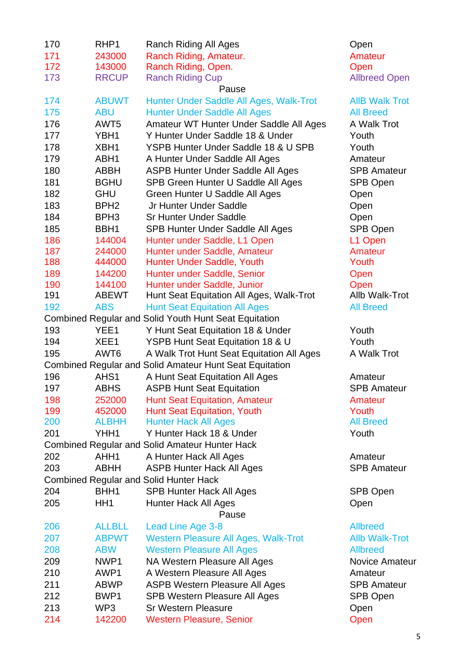| 170 | RHP1             | Ranch Riding All Ages                                          | Open                  |
|-----|------------------|----------------------------------------------------------------|-----------------------|
| 171 | 243000           | Ranch Riding, Amateur.                                         | Amateur               |
| 172 | 143000           | Ranch Riding, Open.                                            | Open                  |
| 173 | <b>RRCUP</b>     | <b>Ranch Riding Cup</b>                                        | <b>Allbreed Open</b>  |
|     |                  | Pause                                                          |                       |
| 174 | <b>ABUWT</b>     | Hunter Under Saddle All Ages, Walk-Trot                        | <b>AIIB Walk Trot</b> |
| 175 | <b>ABU</b>       | <b>Hunter Under Saddle All Ages</b>                            | <b>All Breed</b>      |
| 176 | AWT <sub>5</sub> | Amateur WT Hunter Under Saddle All Ages                        | A Walk Trot           |
| 177 | YBH1             | Y Hunter Under Saddle 18 & Under                               | Youth                 |
| 178 | XBH1             | YSPB Hunter Under Saddle 18 & U SPB                            | Youth                 |
| 179 | ABH1             | A Hunter Under Saddle All Ages                                 | Amateur               |
| 180 | ABBH             | <b>ASPB Hunter Under Saddle All Ages</b>                       | <b>SPB Amateur</b>    |
| 181 | <b>BGHU</b>      | SPB Green Hunter U Saddle All Ages                             | SPB Open              |
| 182 | <b>GHU</b>       | Green Hunter U Saddle All Ages                                 | Open                  |
| 183 | BPH <sub>2</sub> | Jr Hunter Under Saddle                                         | Open                  |
| 184 | BPH <sub>3</sub> | <b>Sr Hunter Under Saddle</b>                                  | Open                  |
| 185 | BBH <sub>1</sub> | SPB Hunter Under Saddle All Ages                               | <b>SPB Open</b>       |
| 186 | 144004           | Hunter under Saddle, L1 Open                                   | L1 Open               |
| 187 | 244000           | Hunter under Saddle, Amateur                                   | Amateur               |
| 188 | 444000           | Hunter Under Saddle, Youth                                     | Youth                 |
| 189 | 144200           | Hunter under Saddle, Senior                                    | Open                  |
| 190 | 144100           | Hunter under Saddle, Junior                                    | Open                  |
| 191 | <b>ABEWT</b>     | Hunt Seat Equitation All Ages, Walk-Trot                       | Allb Walk-Trot        |
| 192 | <b>ABS</b>       | <b>Hunt Seat Equitation All Ages</b>                           | <b>All Breed</b>      |
|     |                  | <b>Combined Regular and Solid Youth Hunt Seat Equitation</b>   |                       |
| 193 | YEE1             | Y Hunt Seat Equitation 18 & Under                              | Youth                 |
| 194 | XEE1             | YSPB Hunt Seat Equitation 18 & U                               | Youth                 |
| 195 | AWT <sub>6</sub> | A Walk Trot Hunt Seat Equitation All Ages                      | A Walk Trot           |
|     |                  | <b>Combined Regular and Solid Amateur Hunt Seat Equitation</b> |                       |
| 196 | AHS1             | A Hunt Seat Equitation All Ages                                | Amateur               |
| 197 | ABHS             | <b>ASPB Hunt Seat Equitation</b>                               | <b>SPB Amateur</b>    |
| 198 | 252000           | <b>Hunt Seat Equitation, Amateur</b>                           | Amateur               |
| 199 | 452000           | <b>Hunt Seat Equitation, Youth</b>                             | Youth                 |
| 200 | <b>ALBHH</b>     | <b>Hunter Hack All Ages</b>                                    | <b>All Breed</b>      |
| 201 | YHH1             | Y Hunter Hack 18 & Under                                       | Youth                 |
|     |                  | <b>Combined Regular and Solid Amateur Hunter Hack</b>          |                       |
| 202 | AHH1             | A Hunter Hack All Ages                                         | Amateur               |
| 203 | ABHH             | <b>ASPB Hunter Hack All Ages</b>                               | <b>SPB Amateur</b>    |
|     |                  | <b>Combined Regular and Solid Hunter Hack</b>                  |                       |
| 204 | BHH1             | <b>SPB Hunter Hack All Ages</b>                                | <b>SPB Open</b>       |
| 205 | HH <sub>1</sub>  | Hunter Hack All Ages                                           | Open                  |
|     |                  | Pause                                                          |                       |
| 206 | <b>ALLBLL</b>    | Lead Line Age 3-8                                              | <b>Allbreed</b>       |
| 207 | <b>ABPWT</b>     | <b>Western Pleasure All Ages, Walk-Trot</b>                    | <b>Allb Walk-Trot</b> |
| 208 | <b>ABW</b>       | <b>Western Pleasure All Ages</b>                               | <b>Allbreed</b>       |
| 209 | NWP1             | NA Western Pleasure All Ages                                   | <b>Novice Amateur</b> |
| 210 | AWP1             | A Western Pleasure All Ages                                    | Amateur               |
| 211 | <b>ABWP</b>      | <b>ASPB Western Pleasure All Ages</b>                          | <b>SPB Amateur</b>    |
| 212 | BWP1             | SPB Western Pleasure All Ages                                  | SPB Open              |
| 213 | WP3              | <b>Sr Western Pleasure</b>                                     | Open                  |
| 214 | 142200           | <b>Western Pleasure, Senior</b>                                | Open                  |
|     |                  |                                                                |                       |